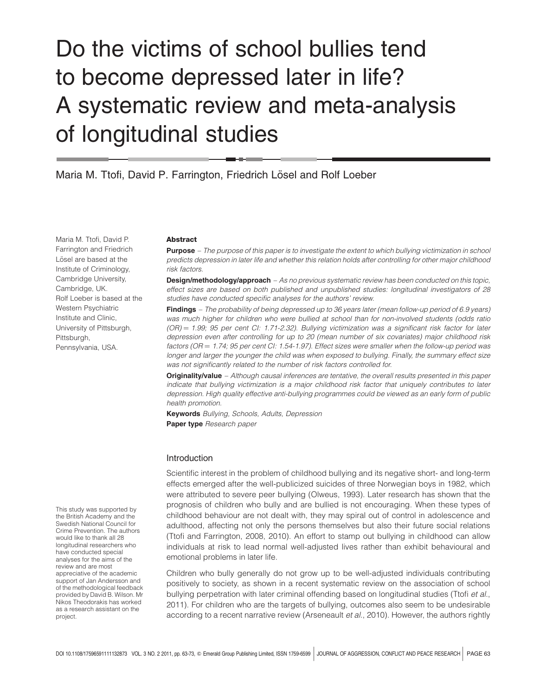# Do the victims of school bullies tend to become depressed later in life? A systematic review and meta-analysis of longitudinal studies

Maria M. Ttofi, David P. Farrington, Friedrich Lösel and Rolf Loeber

Maria M. Ttofi, David P. Farrington and Friedrich Lösel are based at the Institute of Criminology, Cambridge University, Cambridge, UK. Rolf Loeber is based at the Western Psychiatric Institute and Clinic, University of Pittsburgh, Pittsburgh, Pennsylvania, USA.

#### This study was supported by the British Academy and the Swedish National Council for Crime Prevention. The authors would like to thank all 28 longitudinal researchers who have conducted special analyses for the aims of the review and are most appreciative of the academic support of Jan Andersson and of the methodological feedback provided by David B. Wilson. Mr Nikos Theodorakis has worked as a research assistant on the project.

#### Abstract

**Purpose** – The purpose of this paper is to investigate the extent to which bullying victimization in school predicts depression in later life and whether this relation holds after controlling for other major childhood risk factors.

**Design/methodology/approach** – As no previous systematic review has been conducted on this topic, effect sizes are based on both published and unpublished studies: longitudinal investigators of 28 studies have conducted specific analyses for the authors' review.

Findings – The probability of being depressed up to 36 years later (mean follow-up period of 6.9 years) was much higher for children who were bullied at school than for non-involved students (odds ratio  $(OR) = 1.99$ ; 95 per cent CI: 1.71-2.32). Bullying victimization was a significant risk factor for later depression even after controlling for up to 20 (mean number of six covariates) major childhood risk factors (OR  $= 1.74$ ; 95 per cent Cl: 1.54-1.97). Effect sizes were smaller when the follow-up period was longer and larger the younger the child was when exposed to bullying. Finally, the summary effect size was not significantly related to the number of risk factors controlled for.

Originality/value - Although causal inferences are tentative, the overall results presented in this paper indicate that bullying victimization is a major childhood risk factor that uniquely contributes to later depression. High quality effective anti-bullying programmes could be viewed as an early form of public health promotion.

Keywords Bullying, Schools, Adults, Depression Paper type Research paper

### Introduction

Scientific interest in the problem of childhood bullying and its negative short- and long-term effects emerged after the well-publicized suicides of three Norwegian boys in 1982, which were attributed to severe peer bullying (Olweus, 1993). Later research has shown that the prognosis of children who bully and are bullied is not encouraging. When these types of childhood behaviour are not dealt with, they may spiral out of control in adolescence and adulthood, affecting not only the persons themselves but also their future social relations (Ttofi and Farrington, 2008, 2010). An effort to stamp out bullying in childhood can allow individuals at risk to lead normal well-adjusted lives rather than exhibit behavioural and emotional problems in later life.

Children who bully generally do not grow up to be well-adjusted individuals contributing positively to society, as shown in a recent systematic review on the association of school bullying perpetration with later criminal offending based on longitudinal studies (Ttofi et al., 2011). For children who are the targets of bullying, outcomes also seem to be undesirable according to a recent narrative review (Arseneault et al., 2010). However, the authors rightly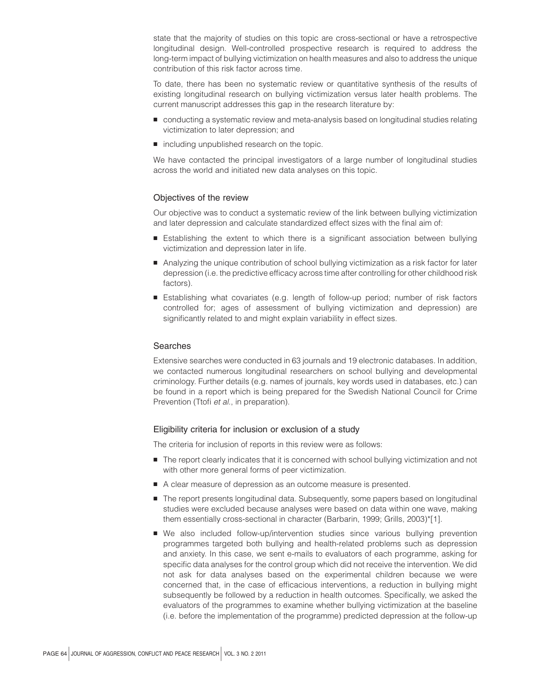state that the majority of studies on this topic are cross-sectional or have a retrospective longitudinal design. Well-controlled prospective research is required to address the long-term impact of bullying victimization on health measures and also to address the unique contribution of this risk factor across time.

To date, there has been no systematic review or quantitative synthesis of the results of existing longitudinal research on bullying victimization versus later health problems. The current manuscript addresses this gap in the research literature by:

- **B** conducting a systematic review and meta-analysis based on longitudinal studies relating victimization to later depression; and
- $\blacksquare$  including unpublished research on the topic.

We have contacted the principal investigators of a large number of longitudinal studies across the world and initiated new data analyses on this topic.

# Objectives of the review

Our objective was to conduct a systematic review of the link between bullying victimization and later depression and calculate standardized effect sizes with the final aim of:

- $\blacksquare$  Establishing the extent to which there is a significant association between bullying victimization and depression later in life.
- <sup>B</sup> Analyzing the unique contribution of school bullying victimization as a risk factor for later depression (i.e. the predictive efficacy across time after controlling for other childhood risk factors).
- Establishing what covariates (e.g. length of follow-up period; number of risk factors controlled for; ages of assessment of bullying victimization and depression) are significantly related to and might explain variability in effect sizes.

# Searches

Extensive searches were conducted in 63 journals and 19 electronic databases. In addition, we contacted numerous longitudinal researchers on school bullying and developmental criminology. Further details (e.g. names of journals, key words used in databases, etc.) can be found in a report which is being prepared for the Swedish National Council for Crime Prevention (Ttofi et al., in preparation).

### Eligibility criteria for inclusion or exclusion of a study

The criteria for inclusion of reports in this review were as follows:

- **B** The report clearly indicates that it is concerned with school bullying victimization and not with other more general forms of peer victimization.
- A clear measure of depression as an outcome measure is presented.
- **B** The report presents longitudinal data. Subsequently, some papers based on longitudinal studies were excluded because analyses were based on data within one wave, making them essentially cross-sectional in character (Barbarin, 1999; Grills, 2003)\*[1].
- <sup>B</sup> We also included follow-up/intervention studies since various bullying prevention programmes targeted both bullying and health-related problems such as depression and anxiety. In this case, we sent e-mails to evaluators of each programme, asking for specific data analyses for the control group which did not receive the intervention. We did not ask for data analyses based on the experimental children because we were concerned that, in the case of efficacious interventions, a reduction in bullying might subsequently be followed by a reduction in health outcomes. Specifically, we asked the evaluators of the programmes to examine whether bullying victimization at the baseline (i.e. before the implementation of the programme) predicted depression at the follow-up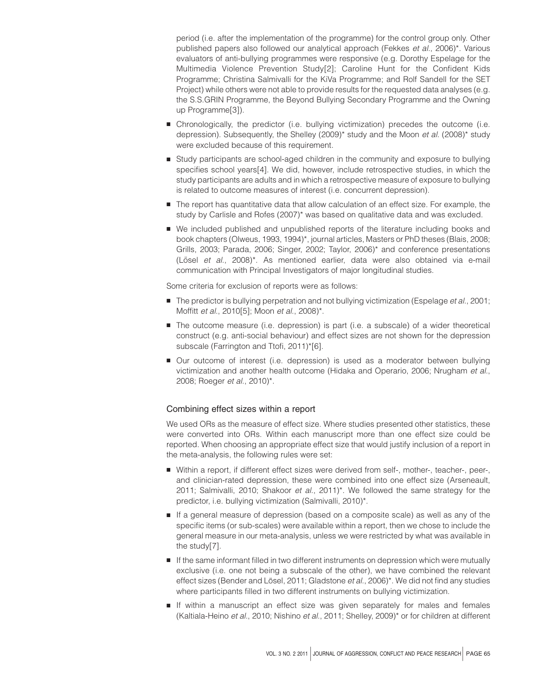period (i.e. after the implementation of the programme) for the control group only. Other published papers also followed our analytical approach (Fekkes et al., 2006)\*. Various evaluators of anti-bullying programmes were responsive (e.g. Dorothy Espelage for the Multimedia Violence Prevention Study[2]; Caroline Hunt for the Confident Kids Programme; Christina Salmivalli for the KiVa Programme; and Rolf Sandell for the SET Project) while others were not able to provide results for the requested data analyses (e.g. the S.S.GRIN Programme, the Beyond Bullying Secondary Programme and the Owning up Programme[3]).

- **B** Chronologically, the predictor (i.e. bullying victimization) precedes the outcome (i.e. depression). Subsequently, the Shelley (2009)<sup>\*</sup> study and the Moon et al. (2008)<sup>\*</sup> study were excluded because of this requirement.
- **B** Study participants are school-aged children in the community and exposure to bullying specifies school years[4]. We did, however, include retrospective studies, in which the study participants are adults and in which a retrospective measure of exposure to bullying is related to outcome measures of interest (i.e. concurrent depression).
- **B** The report has quantitative data that allow calculation of an effect size. For example, the study by Carlisle and Rofes (2007)\* was based on qualitative data and was excluded.
- <sup>B</sup> We included published and unpublished reports of the literature including books and book chapters (Olweus, 1993, 1994)\*, journal articles, Masters or PhD theses (Blais, 2008; Grills, 2003; Parada, 2006; Singer, 2002; Taylor, 2006)\* and conference presentations (Lösel et al., 2008)\*. As mentioned earlier, data were also obtained via e-mail communication with Principal Investigators of major longitudinal studies.

Some criteria for exclusion of reports were as follows:

- $\blacksquare$  The predictor is bullying perpetration and not bullying victimization (Espelage *et al.*, 2001; Moffitt et al., 2010[5]; Moon et al., 2008)\*.
- **B** The outcome measure (i.e. depression) is part (i.e. a subscale) of a wider theoretical construct (e.g. anti-social behaviour) and effect sizes are not shown for the depression subscale (Farrington and Ttofi, 2011)\*[6].
- **Dur outcome of interest (i.e. depression) is used as a moderator between bullying** victimization and another health outcome (Hidaka and Operario, 2006; Nrugham et al., 2008; Roeger et al., 2010)\*.

# Combining effect sizes within a report

We used ORs as the measure of effect size. Where studies presented other statistics, these were converted into ORs. Within each manuscript more than one effect size could be reported. When choosing an appropriate effect size that would justify inclusion of a report in the meta-analysis, the following rules were set:

- <sup>B</sup> Within a report, if different effect sizes were derived from self-, mother-, teacher-, peer-, and clinician-rated depression, these were combined into one effect size (Arseneault, 2011; Salmivalli, 2010; Shakoor et al., 2011)\*. We followed the same strategy for the predictor, i.e. bullying victimization (Salmivalli, 2010)\*.
- <sup>B</sup> If a general measure of depression (based on a composite scale) as well as any of the specific items (or sub-scales) were available within a report, then we chose to include the general measure in our meta-analysis, unless we were restricted by what was available in the study[7].
- **If the same informant filled in two different instruments on depression which were mutually** exclusive (i.e. one not being a subscale of the other), we have combined the relevant effect sizes (Bender and Lösel, 2011; Gladstone et al., 2006)\*. We did not find any studies where participants filled in two different instruments on bullying victimization.
- **If within a manuscript an effect size was given separately for males and females** (Kaltiala-Heino et al., 2010; Nishino et al., 2011; Shelley, 2009)\* or for children at different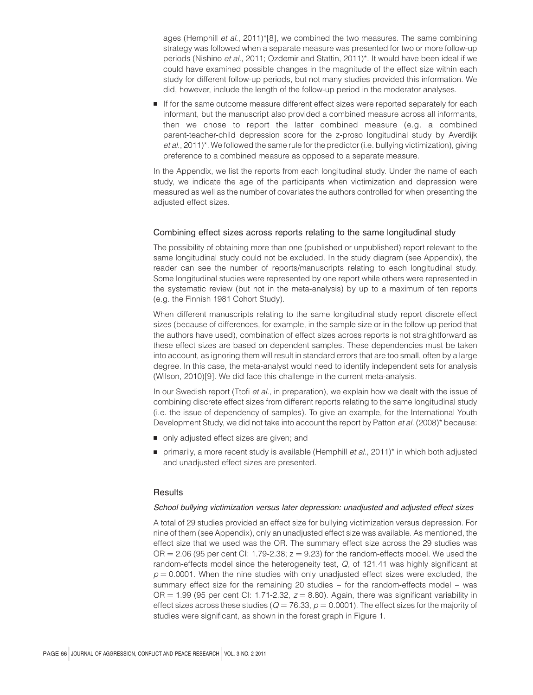ages (Hemphill et al., 2011)\*[8], we combined the two measures. The same combining strategy was followed when a separate measure was presented for two or more follow-up periods (Nishino et al., 2011; Ozdemir and Stattin, 2011)\*. It would have been ideal if we could have examined possible changes in the magnitude of the effect size within each study for different follow-up periods, but not many studies provided this information. We did, however, include the length of the follow-up period in the moderator analyses.

If for the same outcome measure different effect sizes were reported separately for each informant, but the manuscript also provided a combined measure across all informants, then we chose to report the latter combined measure (e.g. a combined parent-teacher-child depression score for the z-proso longitudinal study by Averdijk et al., 2011)\*. We followed the same rule for the predictor (i.e. bullying victimization), giving preference to a combined measure as opposed to a separate measure.

In the Appendix, we list the reports from each longitudinal study. Under the name of each study, we indicate the age of the participants when victimization and depression were measured as well as the number of covariates the authors controlled for when presenting the adjusted effect sizes.

# Combining effect sizes across reports relating to the same longitudinal study

The possibility of obtaining more than one (published or unpublished) report relevant to the same longitudinal study could not be excluded. In the study diagram (see Appendix), the reader can see the number of reports/manuscripts relating to each longitudinal study. Some longitudinal studies were represented by one report while others were represented in the systematic review (but not in the meta-analysis) by up to a maximum of ten reports (e.g. the Finnish 1981 Cohort Study).

When different manuscripts relating to the same longitudinal study report discrete effect sizes (because of differences, for example, in the sample size or in the follow-up period that the authors have used), combination of effect sizes across reports is not straightforward as these effect sizes are based on dependent samples. These dependencies must be taken into account, as ignoring them will result in standard errors that are too small, often by a large degree. In this case, the meta-analyst would need to identify independent sets for analysis (Wilson, 2010)[9]. We did face this challenge in the current meta-analysis.

In our Swedish report (Ttofi et al., in preparation), we explain how we dealt with the issue of combining discrete effect sizes from different reports relating to the same longitudinal study (i.e. the issue of dependency of samples). To give an example, for the International Youth Development Study, we did not take into account the report by Patton et al. (2008)\* because:

- only adjusted effect sizes are given; and
- **P** primarily, a more recent study is available (Hemphill *et al.*, 2011)<sup>\*</sup> in which both adjusted and unadjusted effect sizes are presented.

# **Results**

#### School bullying victimization versus later depression: unadjusted and adjusted effect sizes

A total of 29 studies provided an effect size for bullying victimization versus depression. For nine of them (see Appendix), only an unadjusted effect size was available. As mentioned, the effect size that we used was the OR. The summary effect size across the 29 studies was  $OR = 2.06$  (95 per cent CI: 1.79-2.38;  $z = 9.23$ ) for the random-effects model. We used the random-effects model since the heterogeneity test, Q, of 121.41 was highly significant at  $p = 0.0001$ . When the nine studies with only unadjusted effect sizes were excluded, the summary effect size for the remaining 20 studies – for the random-effects model – was  $OR = 1.99$  (95 per cent CI: 1.71-2.32,  $z = 8.80$ ). Again, there was significant variability in effect sizes across these studies ( $Q = 76.33$ ,  $p = 0.0001$ ). The effect sizes for the majority of studies were significant, as shown in the forest graph in Figure 1.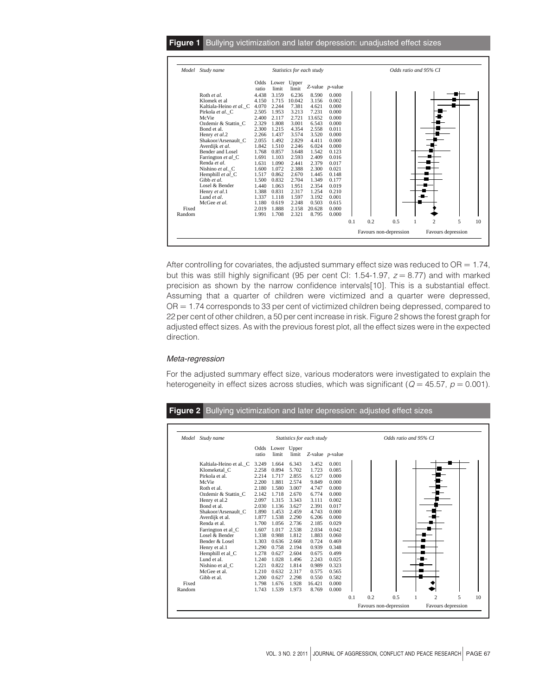**Figure 1** Bullying victimization and later depression: unadjusted effect sizes

| Model  | Study name              | Statistics for each study |                           |        |        |                    |     | Odds ratio and 95% CI  |     |   |                |                    |    |  |
|--------|-------------------------|---------------------------|---------------------------|--------|--------|--------------------|-----|------------------------|-----|---|----------------|--------------------|----|--|
|        |                         | ratio                     | Odds Lower Upper<br>limit | limit  |        | Z-value $p$ -value |     |                        |     |   |                |                    |    |  |
|        | Roth et al.             | 4.438                     | 3.159                     | 6.236  | 8.590  | 0.000              |     |                        |     |   |                |                    |    |  |
|        | Klomek et al.           | 4.150                     | 1.715                     | 10.042 | 3.156  | 0.002              |     |                        |     |   |                |                    |    |  |
|        | Kaltiala-Heino et al. C | 4.070                     | 2.244                     | 7.381  | 4.621  | 0.000              |     |                        |     |   |                |                    |    |  |
|        | Pirkola et al. C        | 2.505                     | 1.953                     | 3.213  | 7.231  | 0.000              |     |                        |     |   |                |                    |    |  |
|        | McVie                   | 2.400                     | 2.117                     | 2.721  | 13.652 | 0.000              |     |                        |     |   |                |                    |    |  |
|        | Ozdemir & Stattin_C     | 2.329                     | 1.808                     | 3.001  | 6.543  | 0.000              |     |                        |     |   |                |                    |    |  |
|        | Bond et al.             | 2.300                     | 1.215                     | 4.354  | 2.558  | 0.011              |     |                        |     |   |                |                    |    |  |
|        | Henry et al.2           | 2.266                     | 1.437                     | 3.574  | 3.520  | 0.000              |     |                        |     |   |                |                    |    |  |
|        | Shakoor/Arsenault C     | 2.055                     | 1.492                     | 2.829  | 4.411  | 0.000              |     |                        |     |   |                |                    |    |  |
|        | Averdijk et al.         | 1.842                     | 1.510                     | 2.246  | 6.024  | 0.000              |     |                        |     |   |                |                    |    |  |
|        | Bender and Losel        | 1.768                     | 0.857                     | 3.648  | 1.542  | 0.123              |     |                        |     |   |                |                    |    |  |
|        | Farrington et al_C      | 1.691                     | 1.103                     | 2.593  | 2.409  | 0.016              |     |                        |     |   |                |                    |    |  |
|        | Renda et al.            | 1.631                     | 1.090                     | 2.441  | 2.379  | 0.017              |     |                        |     |   |                |                    |    |  |
|        | Nishino et al. C        | 1.600                     | 1.072                     | 2.388  | 2.300  | 0.021              |     |                        |     |   |                |                    |    |  |
|        | Hemphill et al C        | 1.517                     | 0.862                     | 2.670  | 1.445  | 0.148              |     |                        |     |   |                |                    |    |  |
|        | Gibb et al.             | 1.500                     | 0.832                     | 2.704  | 1.349  | 0.177              |     |                        |     |   |                |                    |    |  |
|        | Losel & Bender          | 1.440                     | 1.063                     | 1.951  | 2.354  | 0.019              |     |                        |     |   |                |                    |    |  |
|        | Henry et al.1           | 1.388                     | 0.831                     | 2.317  | 1.254  | 0.210              |     |                        |     |   |                |                    |    |  |
|        | Lund et al.             | 1.337                     | 1.118                     | 1.597  | 3.192  | 0.001              |     |                        |     |   |                |                    |    |  |
|        | McGee et al.            | 1.180                     | 0.619                     | 2.248  | 0.503  | 0.615              |     |                        |     |   |                |                    |    |  |
| Fixed  |                         | 2.019                     | 1.888                     | 2.158  | 20.628 | 0.000              |     |                        |     |   |                |                    |    |  |
| Random |                         | 1.991                     | 1.708                     | 2.321  | 8.795  | 0.000              |     |                        |     |   |                |                    |    |  |
|        |                         |                           |                           |        |        |                    | 0.1 | 0.2                    | 0.5 | 1 | $\overline{c}$ | 5                  | 10 |  |
|        |                         |                           |                           |        |        |                    |     | Favours non-depression |     |   |                | Favours depression |    |  |

After controlling for covariates, the adjusted summary effect size was reduced to  $OR = 1.74$ , but this was still highly significant (95 per cent CI: 1.54-1.97,  $z = 8.77$ ) and with marked precision as shown by the narrow confidence intervals[10]. This is a substantial effect. Assuming that a quarter of children were victimized and a quarter were depressed,  $OR = 1.74$  corresponds to 33 per cent of victimized children being depressed, compared to 22 per cent of other children, a 50 per cent increase in risk. Figure 2 shows the forest graph for adjusted effect sizes. As with the previous forest plot, all the effect sizes were in the expected direction.

#### Meta-regression

For the adjusted summary effect size, various moderators were investigated to explain the heterogeneity in effect sizes across studies, which was significant ( $Q = 45.57$ ,  $p = 0.001$ ).



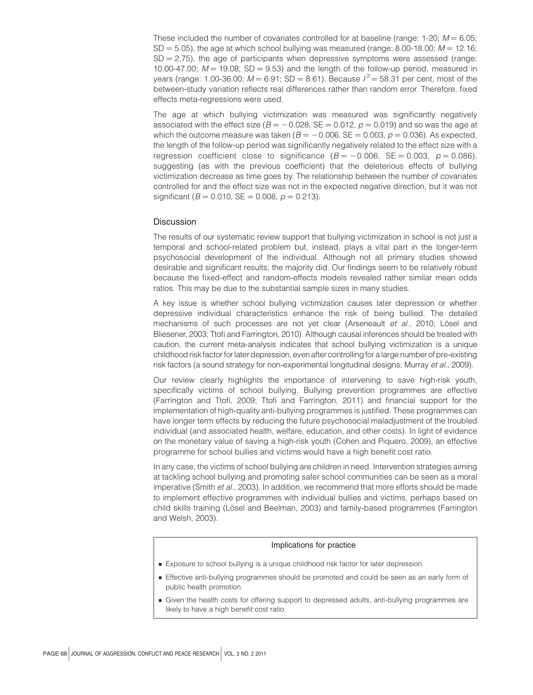These included the number of covariates controlled for at baseline (range: 1-20;  $M = 6.05$ ;  $SD = 5.05$ ), the age at which school bullying was measured (range: 8.00-18.00;  $M = 12.16$ ;  $SD = 2.75$ ), the age of participants when depressive symptoms were assessed (range: 10.00-47.00;  $M = 19.08$ ; SD = 9.53) and the length of the follow-up period, measured in years (range: 1.00-36.00;  $M = 6.91$ ; SD = 8.61). Because  $I^2 = 58.31$  per cent, most of the between-study variation reflects real differences rather than random error. Therefore, fixed effects meta-regressions were used.

The age at which bullying victimization was measured was significantly negatively associated with the effect size ( $B = -0.028$ ,  $SE = 0.012$ ,  $p = 0.019$ ) and so was the age at which the outcome measure was taken ( $B = -0.006$ ,  $SE = 0.003$ ,  $p = 0.036$ ). As expected, the length of the follow-up period was significantly negatively related to the effect size with a regression coefficient close to significance  $(B = -0.006, \text{ SE} = 0.003, p = 0.086)$ , suggesting (as with the previous coefficient) that the deleterious effects of bullying victimization decrease as time goes by. The relationship between the number of covariates controlled for and the effect size was not in the expected negative direction, but it was not significant ( $B = 0.010$ ,  $SE = 0.008$ ,  $p = 0.213$ ).

#### Discussion

The results of our systematic review support that bullying victimization in school is not just a temporal and school-related problem but, instead, plays a vital part in the longer-term psychosocial development of the individual. Although not all primary studies showed desirable and significant results, the majority did. Our findings seem to be relatively robust because the fixed-effect and random-effects models revealed rather similar mean odds ratios. This may be due to the substantial sample sizes in many studies.

A key issue is whether school bullying victimization causes later depression or whether depressive individual characteristics enhance the risk of being bullied. The detailed mechanisms of such processes are not yet clear (Arseneault et al., 2010; Lösel and Bliesener, 2003; Ttofi and Farrington, 2010). Although causal inferences should be treated with caution, the current meta-analysis indicates that school bullying victimization is a unique childhood riskfactor for laterdepression, even after controllingfor a large number of pre-existing risk factors (a sound strategy for non-experimental longitudinal designs; Murray *et al.*, 2009).

Our review clearly highlights the importance of intervening to save high-risk youth, specifically victims of school bullying. Bullying prevention programmes are effective (Farrington and Ttofi, 2009; Ttofi and Farrington, 2011) and financial support for the implementation of high-quality anti-bullying programmes is justified. These programmes can have longer term effects by reducing the future psychosocial maladjustment of the troubled individual (and associated health, welfare, education, and other costs). In light of evidence on the monetary value of saving a high-risk youth (Cohen and Piquero, 2009), an effective programme for school bullies and victims would have a high benefit:cost ratio.

In any case, the victims of school bullying are children in need. Intervention strategies aiming at tackling school bullying and promoting safer school communities can be seen as a moral imperative (Smith et al., 2003). In addition, we recommend that more efforts should be made to implement effective programmes with individual bullies and victims, perhaps based on child skills training (Lösel and Beelman, 2003) and family-based programmes (Farrington and Welsh, 2003).

#### Implications for practice

- **Exposure to school bullying is a unique childhood risk factor for later depression.**
- **Effective anti-bullying programmes should be promoted and could be seen as an early form of** public health promotion.
- **B** Given the health costs for offering support to depressed adults, anti-bullying programmes are likely to have a high benefit:cost ratio.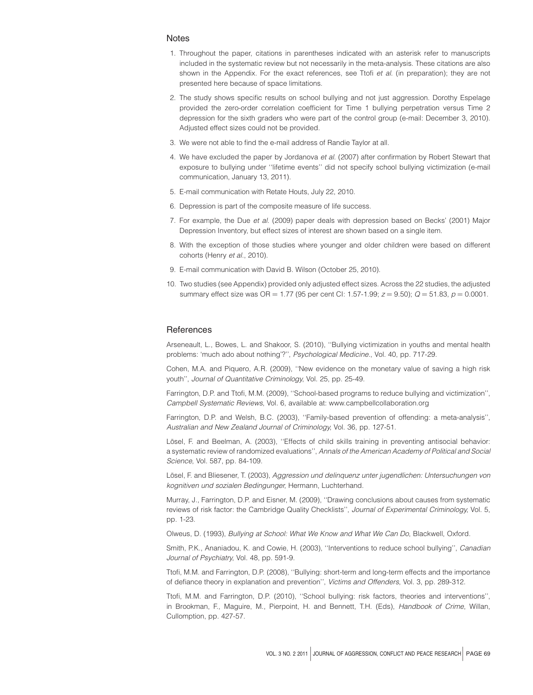#### **Notes**

- 1. Throughout the paper, citations in parentheses indicated with an asterisk refer to manuscripts included in the systematic review but not necessarily in the meta-analysis. These citations are also shown in the Appendix. For the exact references, see Ttofi et al. (in preparation); they are not presented here because of space limitations.
- 2. The study shows specific results on school bullying and not just aggression. Dorothy Espelage provided the zero-order correlation coefficient for Time 1 bullying perpetration versus Time 2 depression for the sixth graders who were part of the control group (e-mail: December 3, 2010). Adjusted effect sizes could not be provided.
- 3. We were not able to find the e-mail address of Randie Taylor at all.
- 4. We have excluded the paper by Jordanova et al. (2007) after confirmation by Robert Stewart that exposure to bullying under ''lifetime events'' did not specify school bullying victimization (e-mail communication, January 13, 2011).
- 5. E-mail communication with Retate Houts, July 22, 2010.
- 6. Depression is part of the composite measure of life success.
- 7. For example, the Due et al. (2009) paper deals with depression based on Becks' (2001) Major Depression Inventory, but effect sizes of interest are shown based on a single item.
- 8. With the exception of those studies where younger and older children were based on different cohorts (Henry et al., 2010).
- 9. E-mail communication with David B. Wilson (October 25, 2010).
- 10. Two studies (see Appendix) provided only adjusted effect sizes. Across the 22 studies, the adjusted summary effect size was OR = 1.77 (95 per cent CI: 1.57-1.99;  $z = 9.50$ );  $Q = 51.83$ ,  $p = 0.0001$ .

#### References

Arseneault, L., Bowes, L. and Shakoor, S. (2010), ''Bullying victimization in youths and mental health problems: 'much ado about nothing'?'', Psychological Medicine., Vol. 40, pp. 717-29.

Cohen, M.A. and Piquero, A.R. (2009), ''New evidence on the monetary value of saving a high risk youth'', Journal of Quantitative Criminology, Vol. 25, pp. 25-49.

Farrington, D.P. and Ttofi, M.M. (2009), ''School-based programs to reduce bullying and victimization'', Campbell Systematic Reviews, Vol. 6, available at: www.campbellcollaboration.org

Farrington, D.P. and Welsh, B.C. (2003), ''Family-based prevention of offending: a meta-analysis'', Australian and New Zealand Journal of Criminology, Vol. 36, pp. 127-51.

Lösel, F. and Beelman, A. (2003), "Effects of child skills training in preventing antisocial behavior: a systematic review of randomized evaluations'', Annals of the American Academy of Political and Social Science, Vol. 587, pp. 84-109.

Lösel, F. and Bliesener, T. (2003), Aggression und delinquenz unter jugendlichen: Untersuchungen von kognitiven und sozialen Bedingunger, Hermann, Luchterhand.

Murray, J., Farrington, D.P. and Eisner, M. (2009), ''Drawing conclusions about causes from systematic reviews of risk factor: the Cambridge Quality Checklists", Journal of Experimental Criminology, Vol. 5, pp. 1-23.

Olweus, D. (1993), Bullying at School: What We Know and What We Can Do, Blackwell, Oxford.

Smith, P.K., Ananiadou, K. and Cowie, H. (2003), ''Interventions to reduce school bullying'', Canadian Journal of Psychiatry, Vol. 48, pp. 591-9.

Ttofi, M.M. and Farrington, D.P. (2008), ''Bullying: short-term and long-term effects and the importance of defiance theory in explanation and prevention'', Victims and Offenders, Vol. 3, pp. 289-312.

Ttofi, M.M. and Farrington, D.P. (2010), ''School bullying: risk factors, theories and interventions'', in Brookman, F., Maguire, M., Pierpoint, H. and Bennett, T.H. (Eds), Handbook of Crime, Willan, Cullomption, pp. 427-57.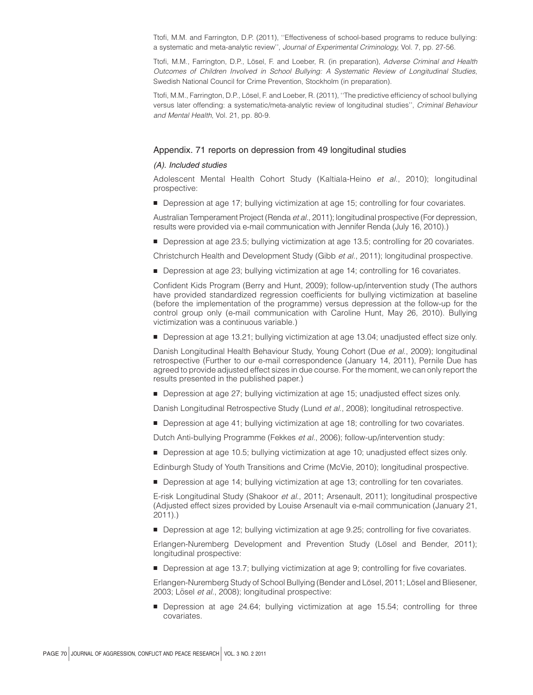Ttofi, M.M. and Farrington, D.P. (2011), ''Effectiveness of school-based programs to reduce bullying: a systematic and meta-analytic review'', Journal of Experimental Criminology, Vol. 7, pp. 27-56.

Ttofi, M.M., Farrington, D.P., Lösel, F. and Loeber, R. (in preparation), Adverse Criminal and Health Outcomes of Children Involved in School Bullying: A Systematic Review of Longitudinal Studies, Swedish National Council for Crime Prevention, Stockholm (in preparation).

Ttofi, M.M., Farrington, D.P., Lösel, F. and Loeber, R. (2011), "The predictive efficiency of school bullying versus later offending: a systematic/meta-analytic review of longitudinal studies'', Criminal Behaviour and Mental Health, Vol. 21, pp. 80-9.

#### Appendix. 71 reports on depression from 49 longitudinal studies

#### (A). Included studies

Adolescent Mental Health Cohort Study (Kaltiala-Heino et al., 2010); longitudinal prospective:

**Depression at age 17; bullying victimization at age 15; controlling for four covariates.** 

Australian Temperament Project (Renda et al., 2011); longitudinal prospective (For depression, results were provided via e-mail communication with Jennifer Renda (July 16, 2010).)

**Depression at age 23.5; bullying victimization at age 13.5; controlling for 20 covariates.** 

Christchurch Health and Development Study (Gibb et al., 2011); longitudinal prospective.

**B** Depression at age 23; bullying victimization at age 14; controlling for 16 covariates.

Confident Kids Program (Berry and Hunt, 2009); follow-up/intervention study (The authors have provided standardized regression coefficients for bullying victimization at baseline (before the implementation of the programme) versus depression at the follow-up for the control group only (e-mail communication with Caroline Hunt, May 26, 2010). Bullying victimization was a continuous variable.)

**Depression at age 13.21; bullying victimization at age 13.04; unadjusted effect size only.** 

Danish Longitudinal Health Behaviour Study, Young Cohort (Due et al., 2009); longitudinal retrospective (Further to our e-mail correspondence (January 14, 2011), Pernile Due has agreed to provide adjusted effect sizes in due course. For the moment, we can only report the results presented in the published paper.)

**B** Depression at age 27; bullying victimization at age 15; unadjusted effect sizes only.

Danish Longitudinal Retrospective Study (Lund et al., 2008); longitudinal retrospective.

**Depression at age 41; bullying victimization at age 18; controlling for two covariates.** 

Dutch Anti-bullying Programme (Fekkes et al., 2006); follow-up/intervention study:

**Depression at age 10.5; bullying victimization at age 10; unadjusted effect sizes only.** 

Edinburgh Study of Youth Transitions and Crime (McVie, 2010); longitudinal prospective.

**Depression at age 14; bullying victimization at age 13; controlling for ten covariates.** 

E-risk Longitudinal Study (Shakoor et al., 2011; Arsenault, 2011); longitudinal prospective (Adjusted effect sizes provided by Louise Arsenault via e-mail communication (January 21, 2011).)

**B** Depression at age 12; bullying victimization at age 9.25; controlling for five covariates.

Erlangen-Nuremberg Development and Prevention Study (Lösel and Bender, 2011); longitudinal prospective:

**B** Depression at age 13.7; bullying victimization at age 9; controlling for five covariates.

Erlangen-Nuremberg Study of School Bullying (Bender and Lösel, 2011; Lösel and Bliesener, 2003; Lösel et al., 2008); longitudinal prospective:

**Depression at age 24.64; bullying victimization at age 15.54; controlling for three** covariates.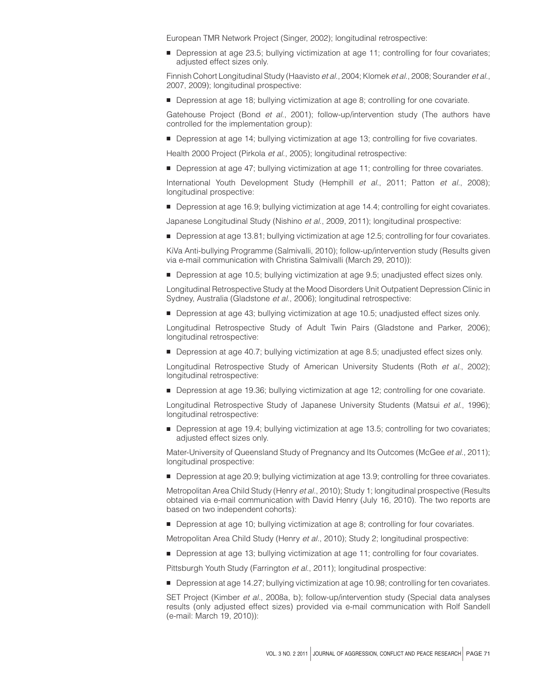European TMR Network Project (Singer, 2002); longitudinal retrospective:

**Depression at age 23.5; bullying victimization at age 11; controlling for four covariates;** adjusted effect sizes only.

Finnish Cohort Longitudinal Study (Haavisto et al., 2004; Klomek et al., 2008; Sourander et al., 2007, 2009); longitudinal prospective:

**Depression at age 18; bullying victimization at age 8; controlling for one covariate.** 

Gatehouse Project (Bond et al., 2001); follow-up/intervention study (The authors have controlled for the implementation group):

**B** Depression at age 14; bullying victimization at age 13; controlling for five covariates.

Health 2000 Project (Pirkola et al., 2005); longitudinal retrospective:

**Depression at age 47; bullying victimization at age 11; controlling for three covariates.** 

International Youth Development Study (Hemphill et al., 2011; Patton et al., 2008); longitudinal prospective:

**Depression at age 16.9; bullying victimization at age 14.4; controlling for eight covariates.** 

Japanese Longitudinal Study (Nishino et al., 2009, 2011); longitudinal prospective:

**B** Depression at age 13.81; bullying victimization at age 12.5; controlling for four covariates.

KiVa Anti-bullying Programme (Salmivalli, 2010); follow-up/intervention study (Results given via e-mail communication with Christina Salmivalli (March 29, 2010)):

**Depression at age 10.5; bullying victimization at age 9.5; unadjusted effect sizes only.** 

Longitudinal Retrospective Study at the Mood Disorders Unit Outpatient Depression Clinic in Sydney, Australia (Gladstone et al., 2006); longitudinal retrospective:

**Depression at age 43; bullying victimization at age 10.5; unadjusted effect sizes only.** 

Longitudinal Retrospective Study of Adult Twin Pairs (Gladstone and Parker, 2006); longitudinal retrospective:

**Depression at age 40.7; bullying victimization at age 8.5; unadjusted effect sizes only.** 

Longitudinal Retrospective Study of American University Students (Roth et al., 2002); longitudinal retrospective:

**B** Depression at age 19.36; bullying victimization at age 12; controlling for one covariate.

Longitudinal Retrospective Study of Japanese University Students (Matsui et al., 1996); longitudinal retrospective:

Depression at age 19.4; bullying victimization at age 13.5; controlling for two covariates; adjusted effect sizes only.

Mater-University of Queensland Study of Pregnancy and Its Outcomes (McGee et al., 2011); longitudinal prospective:

**B** Depression at age 20.9; bullying victimization at age 13.9; controlling for three covariates.

Metropolitan Area Child Study (Henry et al., 2010); Study 1; longitudinal prospective (Results obtained via e-mail communication with David Henry (July 16, 2010). The two reports are based on two independent cohorts):

**Depression at age 10; bullying victimization at age 8; controlling for four covariates.** 

Metropolitan Area Child Study (Henry et al., 2010); Study 2; longitudinal prospective:

**B** Depression at age 13; bullying victimization at age 11; controlling for four covariates.

Pittsburgh Youth Study (Farrington et al., 2011); longitudinal prospective:

**Depression at age 14.27; bullying victimization at age 10.98; controlling for ten covariates.** 

SET Project (Kimber et al., 2008a, b); follow-up/intervention study (Special data analyses results (only adjusted effect sizes) provided via e-mail communication with Rolf Sandell (e-mail: March 19, 2010)):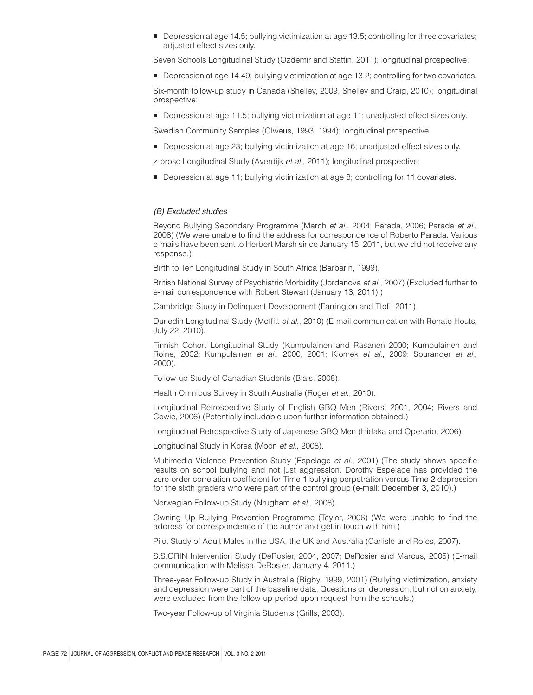**Depression at age 14.5; bullying victimization at age 13.5; controlling for three covariates;** adjusted effect sizes only.

Seven Schools Longitudinal Study (Ozdemir and Stattin, 2011); longitudinal prospective:

**Depression at age 14.49; bullying victimization at age 13.2; controlling for two covariates.** 

Six-month follow-up study in Canada (Shelley, 2009; Shelley and Craig, 2010); longitudinal prospective:

**B** Depression at age 11.5; bullying victimization at age 11; unadjusted effect sizes only.

Swedish Community Samples (Olweus, 1993, 1994); longitudinal prospective:

**B** Depression at age 23; bullying victimization at age 16; unadjusted effect sizes only.

z-proso Longitudinal Study (Averdijk et al., 2011); longitudinal prospective:

**Depression at age 11; bullying victimization at age 8; controlling for 11 covariates.** 

#### (B) Excluded studies

Beyond Bullying Secondary Programme (March et al., 2004; Parada, 2006; Parada et al., 2008) (We were unable to find the address for correspondence of Roberto Parada. Various e-mails have been sent to Herbert Marsh since January 15, 2011, but we did not receive any response.)

Birth to Ten Longitudinal Study in South Africa (Barbarin, 1999).

British National Survey of Psychiatric Morbidity (Jordanova et al., 2007) (Excluded further to e-mail correspondence with Robert Stewart (January 13, 2011).)

Cambridge Study in Delinquent Development (Farrington and Ttofi, 2011).

Dunedin Longitudinal Study (Moffitt et al., 2010) (E-mail communication with Renate Houts, July 22, 2010).

Finnish Cohort Longitudinal Study (Kumpulainen and Rasanen 2000; Kumpulainen and Roine, 2002; Kumpulainen et al., 2000, 2001; Klomek et al., 2009; Sourander et al., 2000).

Follow-up Study of Canadian Students (Blais, 2008).

Health Omnibus Survey in South Australia (Roger et al., 2010).

Longitudinal Retrospective Study of English GBQ Men (Rivers, 2001, 2004; Rivers and Cowie, 2006) (Potentially includable upon further information obtained.)

Longitudinal Retrospective Study of Japanese GBQ Men (Hidaka and Operario, 2006).

Longitudinal Study in Korea (Moon et al., 2008).

Multimedia Violence Prevention Study (Espelage et al., 2001) (The study shows specific results on school bullying and not just aggression. Dorothy Espelage has provided the zero-order correlation coefficient for Time 1 bullying perpetration versus Time 2 depression for the sixth graders who were part of the control group (e-mail: December 3, 2010).)

Norwegian Follow-up Study (Nrugham et al., 2008).

Owning Up Bullying Prevention Programme (Taylor, 2006) (We were unable to find the address for correspondence of the author and get in touch with him.)

Pilot Study of Adult Males in the USA, the UK and Australia (Carlisle and Rofes, 2007).

S.S.GRIN Intervention Study (DeRosier, 2004, 2007; DeRosier and Marcus, 2005) (E-mail communication with Melissa DeRosier, January 4, 2011.)

Three-year Follow-up Study in Australia (Rigby, 1999, 2001) (Bullying victimization, anxiety and depression were part of the baseline data. Questions on depression, but not on anxiety, were excluded from the follow-up period upon request from the schools.)

Two-year Follow-up of Virginia Students (Grills, 2003).